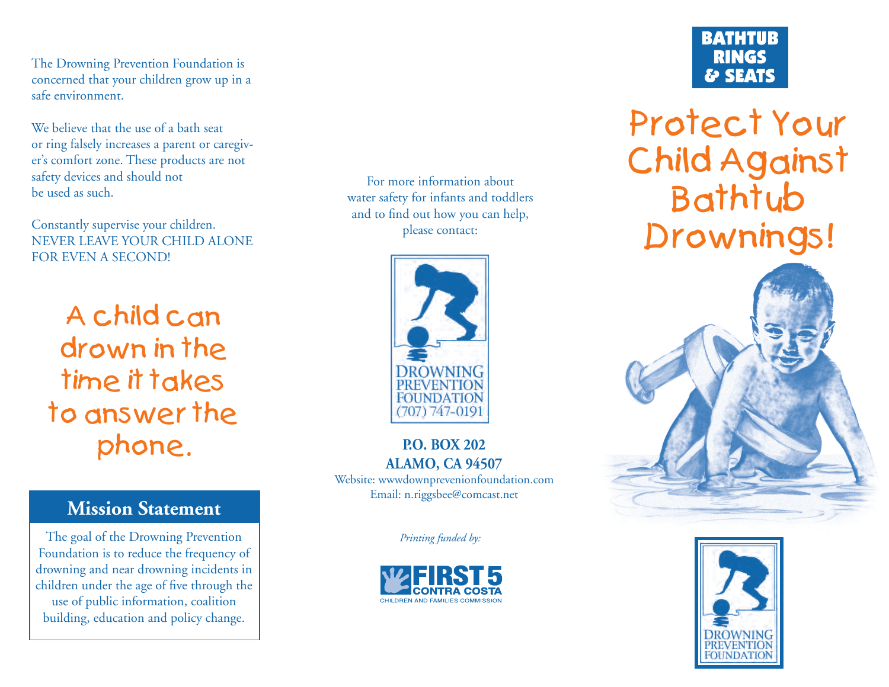The Drowning Prevention Foundation is concerned that your children grow up in a safe environment.

We believe that the use of a bath seat or ring falsely increases a parent or caregiver's comfort zone. These products are not safety devices and should not be used as such.

Constantly supervise your children. NEVER LEAVE YOUR CHILD ALONE FOR EVEN A SECOND!

A child can drown in the time it takes to answer the phone.

## **Mission Statement**

The goal of the Drowning Prevention Foundation is to reduce the frequency of drowning and near drowning incidents in children under the age of five through the use of public information, coalition building, education and policy change.

For more information about water safety for infants and toddlers and to find out how you can help, please contact:



### **P.O. BOX 202ALAMO, CA 94507**

Website: wwwdownprevenionfoundation.com Email: n.riggsbee@comcast.net

*Printing funded by:*



# **BATHTUB RINGS** & SEATS

Protect Your Child Against Bathtub Drownings!